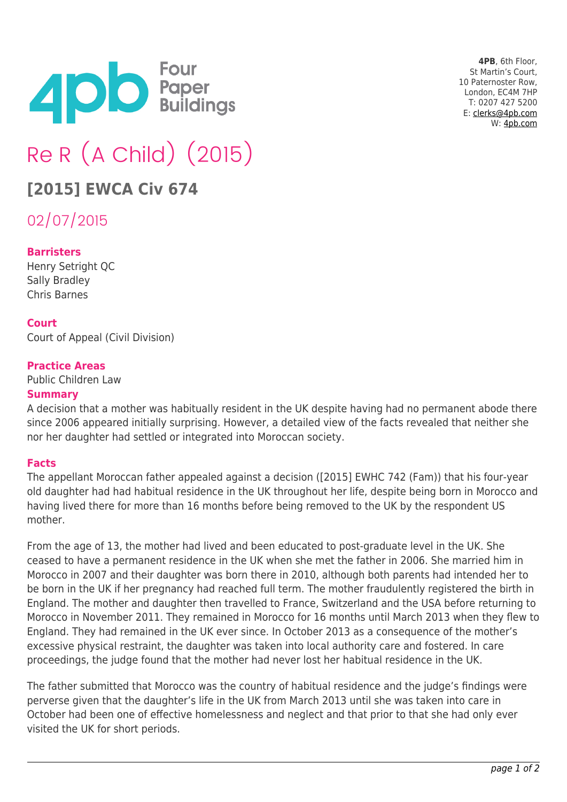

**4PB**, 6th Floor, St Martin's Court, 10 Paternoster Row, London, EC4M 7HP T: 0207 427 5200 E: [clerks@4pb.com](mailto:clerks@4pb.com) W: [4pb.com](http://4pb.com)

# Re R (A Child) (2015)

# **[2015] EWCA Civ 674**

02/07/2015

### **Barristers**

Henry Setright QC Sally Bradley Chris Barnes

#### **Court**

Court of Appeal (Civil Division)

#### **Practice Areas**

Public Children Law

#### **Summary**

A decision that a mother was habitually resident in the UK despite having had no permanent abode there since 2006 appeared initially surprising. However, a detailed view of the facts revealed that neither she nor her daughter had settled or integrated into Moroccan society.

#### **Facts**

The appellant Moroccan father appealed against a decision ([2015] EWHC 742 (Fam)) that his four-year old daughter had had habitual residence in the UK throughout her life, despite being born in Morocco and having lived there for more than 16 months before being removed to the UK by the respondent US mother.

From the age of 13, the mother had lived and been educated to post-graduate level in the UK. She ceased to have a permanent residence in the UK when she met the father in 2006. She married him in Morocco in 2007 and their daughter was born there in 2010, although both parents had intended her to be born in the UK if her pregnancy had reached full term. The mother fraudulently registered the birth in England. The mother and daughter then travelled to France, Switzerland and the USA before returning to Morocco in November 2011. They remained in Morocco for 16 months until March 2013 when they flew to England. They had remained in the UK ever since. In October 2013 as a consequence of the mother's excessive physical restraint, the daughter was taken into local authority care and fostered. In care proceedings, the judge found that the mother had never lost her habitual residence in the UK.

The father submitted that Morocco was the country of habitual residence and the judge's findings were perverse given that the daughter's life in the UK from March 2013 until she was taken into care in October had been one of effective homelessness and neglect and that prior to that she had only ever visited the UK for short periods.